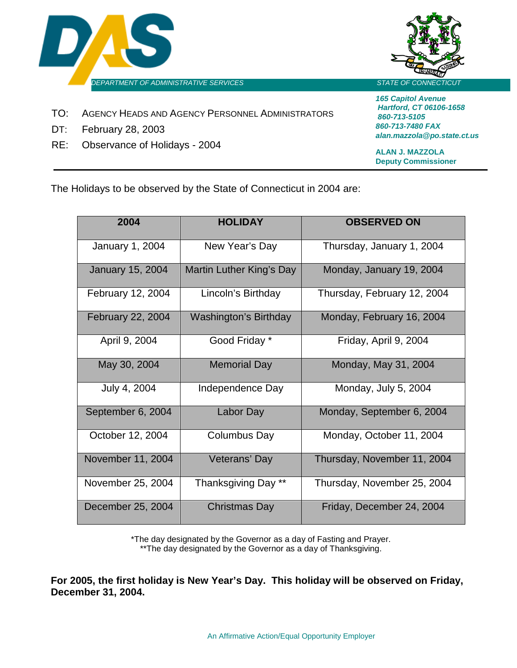



- TO: AGENCY HEADS AND AGENCY PERSONNEL ADMINISTRATORS
- DT: February 28, 2003
- RE: Observance of Holidays 2004

*165 Capitol Avenue Hartford, CT 06106-1658 860-713-5105 860-713-7480 FAX alan.mazzola@po.state.ct.us*

**ALAN J. MAZZOLA Deputy Commissioner**

The Holidays to be observed by the State of Connecticut in 2004 are:

| 2004                    | <b>HOLIDAY</b>               | <b>OBSERVED ON</b>          |
|-------------------------|------------------------------|-----------------------------|
| January 1, 2004         | New Year's Day               | Thursday, January 1, 2004   |
| <b>January 15, 2004</b> | Martin Luther King's Day     | Monday, January 19, 2004    |
| February 12, 2004       | Lincoln's Birthday           | Thursday, February 12, 2004 |
| February 22, 2004       | <b>Washington's Birthday</b> | Monday, February 16, 2004   |
| April 9, 2004           | Good Friday *                | Friday, April 9, 2004       |
| May 30, 2004            | <b>Memorial Day</b>          | Monday, May 31, 2004        |
| July 4, 2004            | Independence Day             | Monday, July 5, 2004        |
| September 6, 2004       | Labor Day                    | Monday, September 6, 2004   |
| October 12, 2004        | Columbus Day                 | Monday, October 11, 2004    |
| November 11, 2004       | Veterans' Day                | Thursday, November 11, 2004 |
| November 25, 2004       | Thanksgiving Day **          | Thursday, November 25, 2004 |
| December 25, 2004       | Christmas Day                | Friday, December 24, 2004   |

\*The day designated by the Governor as a day of Fasting and Prayer. \*\*The day designated by the Governor as a day of Thanksgiving.

**For 2005, the first holiday is New Year's Day. This holiday will be observed on Friday, December 31, 2004.**